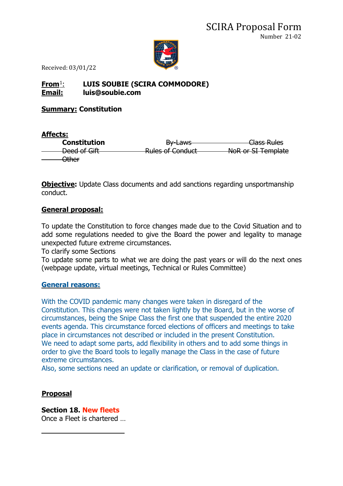

## **From**[1](#page-0-0): **LUIS SOUBIE (SCIRA COMMODORE) Email: luis@soubie.com**

**Summary: Constitution**

### **Affects: Constitution By-Laws** By Laws Class Rules Deed of Gift Rules of Conduct NoR or SI Template Other

**Objective:** Update Class documents and add sanctions regarding unsportmanship conduct.

### **General proposal:**

To update the Constitution to force changes made due to the Covid Situation and to add some regulations needed to give the Board the power and legality to manage unexpected future extreme circumstances.

To clarify some Sections

To update some parts to what we are doing the past years or will do the next ones (webpage update, virtual meetings, Technical or Rules Committee)

### **General reasons:**

With the COVID pandemic many changes were taken in disregard of the Constitution. This changes were not taken lightly by the Board, but in the worse of circumstances, being the Snipe Class the first one that suspended the entire 2020 events agenda. This circumstance forced elections of officers and meetings to take place in circumstances not described or included in the present Constitution. We need to adapt some parts, add flexibility in others and to add some things in order to give the Board tools to legally manage the Class in the case of future extreme circumstances.

Also, some sections need an update or clarification, or removal of duplication.

# **Proposal**

### **Section 18. New fleets**

<span id="page-0-0"></span>Once a Fleet is chartered …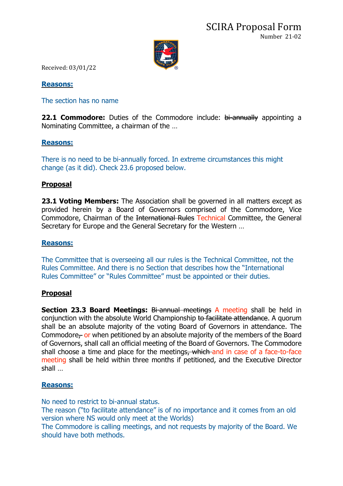

#### **Reasons:**

The section has no name

**22.1 Commodore:** Duties of the Commodore include: bi-annually appointing a Nominating Committee, a chairman of the …

#### **Reasons:**

There is no need to be bi-annually forced. In extreme circumstances this might change (as it did). Check 23.6 proposed below.

### **Proposal**

**23.1 Voting Members:** The Association shall be governed in all matters except as provided herein by a Board of Governors comprised of the Commodore, Vice Commodore, Chairman of the International Rules Technical Committee, the General Secretary for Europe and the General Secretary for the Western …

### **Reasons:**

The Committee that is overseeing all our rules is the Technical Committee, not the Rules Committee. And there is no Section that describes how the "International Rules Committee" or "Rules Committee" must be appointed or their duties.

### **Proposal**

**Section 23.3 Board Meetings: Bi-annual meetings A meeting shall be held in** conjunction with the absolute World Championship to facilitate attendance. A quorum shall be an absolute majority of the voting Board of Governors in attendance. The Commodore<sub>t</sub> or when petitioned by an absolute majority of the members of the Board of Governors, shall call an official meeting of the Board of Governors. The Commodore shall choose a time and place for the meetings, which and in case of a face-to-face meeting shall be held within three months if petitioned, and the Executive Director shall …

#### **Reasons:**

No need to restrict to bi-annual status.

The reason ("to facilitate attendance" is of no importance and it comes from an old version where NS would only meet at the Worlds)

The Commodore is calling meetings, and not requests by majority of the Board. We should have both methods.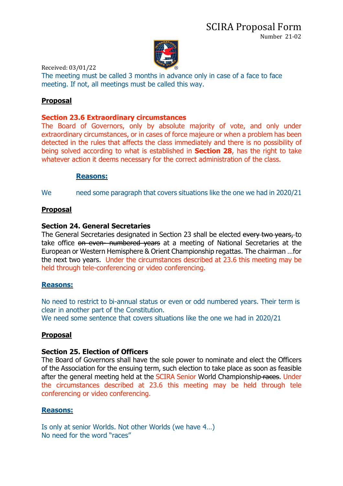

The meeting must be called 3 months in advance only in case of a face to face meeting. If not, all meetings must be called this way.

## **Proposal**

#### **Section 23.6 Extraordinary circumstances**

The Board of Governors, only by absolute majority of vote, and only under extraordinary circumstances, or in cases of force majeure or when a problem has been detected in the rules that affects the class immediately and there is no possibility of being solved according to what is established in **Section 28**, has the right to take whatever action it deems necessary for the correct administration of the class.

#### **Reasons:**

We need some paragraph that covers situations like the one we had in 2020/21

#### **Proposal**

#### **Section 24. General Secretaries**

The General Secretaries designated in Section 23 shall be elected every two years, to take office on even- numbered years at a meeting of National Secretaries at the European or Western Hemisphere & Orient Championship regattas. The chairman …for the next two years. Under the circumstances described at 23.6 this meeting may be held through tele-conferencing or video conferencing.

#### **Reasons:**

No need to restrict to bi-annual status or even or odd numbered years. Their term is clear in another part of the Constitution.

We need some sentence that covers situations like the one we had in 2020/21

### **Proposal**

### **Section 25. Election of Officers**

The Board of Governors shall have the sole power to nominate and elect the Officers of the Association for the ensuing term, such election to take place as soon as feasible after the general meeting held at the SCIRA Senior World Championship races. Under the circumstances described at 23.6 this meeting may be held through tele conferencing or video conferencing.

### **Reasons:**

Is only at senior Worlds. Not other Worlds (we have 4…) No need for the word "races"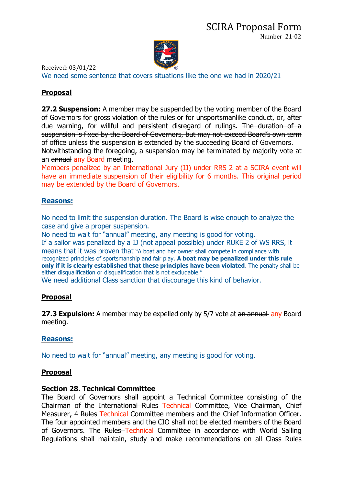

We need some sentence that covers situations like the one we had in 2020/21

# **Proposal**

**27.2 Suspension:** A member may be suspended by the voting member of the Board of Governors for gross violation of the rules or for unsportsmanlike conduct, or, after due warning, for willful and persistent disregard of rulings. The duration of a suspension is fixed by the Board of Governors, but may not exceed Board's own term of office unless the suspension is extended by the succeeding Board of Governors. Notwithstanding the foregoing, a suspension may be terminated by majority vote at an annual any Board meeting.

Members penalized by an International Jury (IJ) under RRS 2 at a SCIRA event will have an immediate suspension of their eligibility for 6 months. This original period may be extended by the Board of Governors.

## **Reasons:**

No need to limit the suspension duration. The Board is wise enough to analyze the case and give a proper suspension.

No need to wait for "annual" meeting, any meeting is good for voting.

If a sailor was penalized by a IJ (not appeal possible) under RUKE 2 of WS RRS, it means that it was proven that "A boat and her owner shall compete in compliance with recognized principles of sportsmanship and fair play. **A boat may be penalized under this rule only if it is clearly established that these principles have been violated**. The penalty shall be either disqualification or disqualification that is not excludable."

We need additional Class sanction that discourage this kind of behavior.

# **Proposal**

**27.3 Expulsion:** A member may be expelled only by 5/7 vote at an annual any Board meeting.

# **Reasons:**

No need to wait for "annual" meeting, any meeting is good for voting.

### **Proposal**

#### **Section 28. Technical Committee**

The Board of Governors shall appoint a Technical Committee consisting of the Chairman of the International Rules Technical Committee, Vice Chairman, Chief Measurer, 4 Rules Technical Committee members and the Chief Information Officer. The four appointed members and the CIO shall not be elected members of the Board of Governors. The Rules-Technical Committee in accordance with World Sailing Regulations shall maintain, study and make recommendations on all Class Rules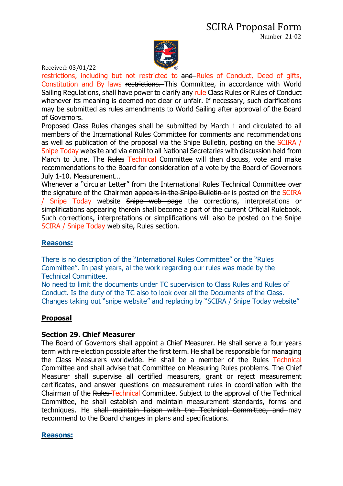

restrictions, including but not restricted to and Rules of Conduct, Deed of gifts, Constitution and By laws restrictions. This Committee, in accordance with World Sailing Regulations, shall have power to clarify any rule Class Rules or Rules of Conduct whenever its meaning is deemed not clear or unfair. If necessary, such clarifications may be submitted as rules amendments to World Sailing after approval of the Board of Governors.

Proposed Class Rules changes shall be submitted by March 1 and circulated to all members of the International Rules Committee for comments and recommendations as well as publication of the proposal via the Snipe Bulletin, posting on the SCIRA / Snipe Today website and via email to all National Secretaries with discussion held from March to June. The Rules Technical Committee will then discuss, vote and make recommendations to the Board for consideration of a vote by the Board of Governors July 1-10. Measurement…

Whenever a "circular Letter" from the International Rules Technical Committee over the signature of the Chairman appears in the Snipe Bulletin or is posted on the SCIRA / Snipe Today website Snipe web page the corrections, interpretations or simplifications appearing therein shall become a part of the current Official Rulebook. Such corrections, interpretations or simplifications will also be posted on the Snipe SCIRA / Snipe Today web site, Rules section.

#### **Reasons:**

There is no description of the "International Rules Committee" or the "Rules Committee". In past years, al the work regarding our rules was made by the Technical Committee.

No need to limit the documents under TC supervision to Class Rules and Rules of Conduct. Is the duty of the TC also to look over all the Documents of the Class. Changes taking out "snipe website" and replacing by "SCIRA / Snipe Today website"

### **Proposal**

#### **Section 29. Chief Measurer**

The Board of Governors shall appoint a Chief Measurer. He shall serve a four years term with re-election possible after the first term. He shall be responsible for managing the Class Measurers worldwide. He shall be a member of the Rules-Technical Committee and shall advise that Committee on Measuring Rules problems. The Chief Measurer shall supervise all certified measurers, grant or reject measurement certificates, and answer questions on measurement rules in coordination with the Chairman of the Rules Technical Committee. Subject to the approval of the Technical Committee, he shall establish and maintain measurement standards, forms and techniques. He shall maintain liaison with the Technical Committee, and may recommend to the Board changes in plans and specifications.

#### **Reasons:**